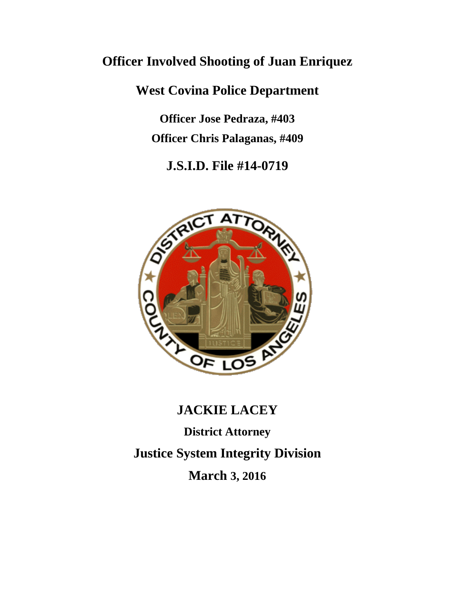# **Officer Involved Shooting of Juan Enriquez**

# **West Covina Police Department**

**Officer Jose Pedraza, #403 Officer Chris Palaganas, #409** 

**J.S.I.D. File #14-0719**



# **JACKIE LACEY**

**District Attorney Justice System Integrity Division March 3, 2016**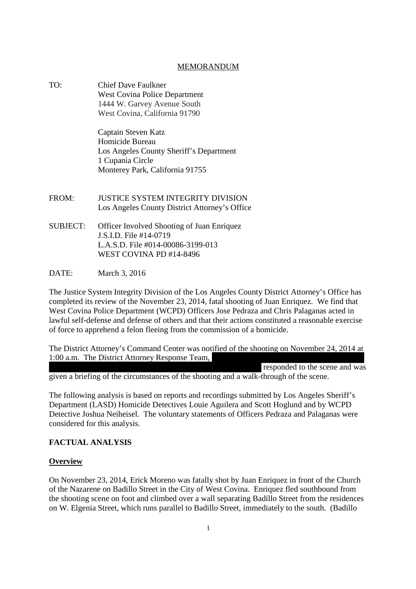#### MEMORANDUM

TO: Chief Dave Faulkner West Covina Police Department 1444 W. Garvey Avenue South West Covina, California 91790

> Captain Steven Katz Homicide Bureau Los Angeles County Sheriff's Department 1 Cupania Circle Monterey Park, California 91755

- FROM: JUSTICE SYSTEM INTEGRITY DIVISION Los Angeles County District Attorney's Office
- SUBJECT: Officer Involved Shooting of Juan Enriquez J.S.I.D. File #14-0719 L.A.S.D. File #014-00086-3199-013 WEST COVINA PD #14-8496
- DATE: March 3, 2016

The Justice System Integrity Division of the Los Angeles County District Attorney's Office has completed its review of the November 23, 2014, fatal shooting of Juan Enriquez. We find that West Covina Police Department (WCPD) Officers Jose Pedraza and Chris Palaganas acted in lawful self-defense and defense of others and that their actions constituted a reasonable exercise of force to apprehend a felon fleeing from the commission of a homicide.

The District Attorney's Command Center was notified of the shooting on November 24, 2014 at 1:00 a.m. The District Attorney Response Team,

responded to the scene and was given a briefing of the circumstances of the shooting and a walk-through of the scene.

The following analysis is based on reports and recordings submitted by Los Angeles Sheriff's

Department (LASD) Homicide Detectives Louie Aguilera and Scott Hoglund and by WCPD Detective Joshua Neiheisel. The voluntary statements of Officers Pedraza and Palaganas were considered for this analysis.

# **FACTUAL ANALYSIS**

# **Overview**

On November 23, 2014, Erick Moreno was fatally shot by Juan Enriquez in front of the Church of the Nazarene on Badillo Street in the City of West Covina. Enriquez fled southbound from the shooting scene on foot and climbed over a wall separating Badillo Street from the residences on W. Elgenia Street, which runs parallel to Badillo Street, immediately to the south. (Badillo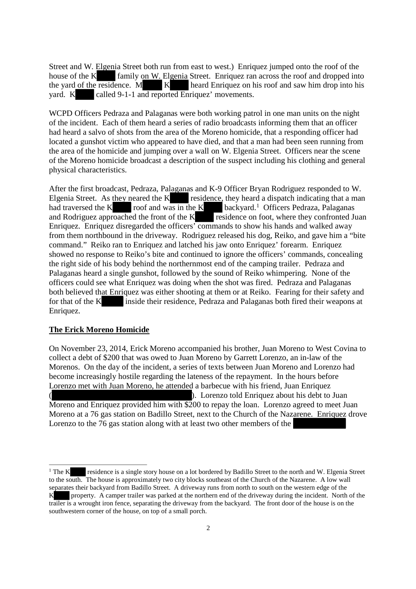Street and W. Elgenia Street both run from east to west.) Enriquez jumped onto the roof of the house of the K family on W. Elgenia Street. Enriquez ran across the roof and dropped into the yard of the residence.  $M$  K heard Enriquez on his roof and saw him drop into his yard. K called 9-1-1 and reported Enriquez' movements.

WCPD Officers Pedraza and Palaganas were both working patrol in one man units on the night of the incident. Each of them heard a series of radio broadcasts informing them that an officer had heard a salvo of shots from the area of the Moreno homicide, that a responding officer had located a gunshot victim who appeared to have died, and that a man had been seen running from the area of the homicide and jumping over a wall on W. Elgenia Street. Officers near the scene of the Moreno homicide broadcast a description of the suspect including his clothing and general physical characteristics.

After the first broadcast, Pedraza, Palaganas and K-9 Officer Bryan Rodriguez responded to W. Elgenia Street. As they neared the K residence, they heard a dispatch indicating that a man had traversed the K roof and was in the K backyard.<sup>1</sup> Officers Pedraza, Palaganas and Rodriguez approached the front of the K residence on foot, where they confronted Juan Enriquez. Enriquez disregarded the officers' commands to show his hands and walked away from them northbound in the driveway. Rodriguez released his dog, Reiko, and gave him a "bite command." Reiko ran to Enriquez and latched his jaw onto Enriquez' forearm. Enriquez showed no response to Reiko's bite and continued to ignore the officers' commands, concealing the right side of his body behind the northernmost end of the camping trailer. Pedraza and Palaganas heard a single gunshot, followed by the sound of Reiko whimpering. None of the officers could see what Enriquez was doing when the shot was fired. Pedraza and Palaganas both believed that Enriquez was either shooting at them or at Reiko. Fearing for their safety and for that of the K inside their residence, Pedraza and Palaganas both fired their weapons at Enriquez.

#### **The Erick Moreno Homicide**

On November 23, 2014, Erick Moreno accompanied his brother, Juan Moreno to West Covina to collect a debt of \$200 that was owed to Juan Moreno by Garrett Lorenzo, an in-law of the Morenos. On the day of the incident, a series of texts between Juan Moreno and Lorenzo had become increasingly hostile regarding the lateness of the repayment. In the hours before Lorenzo met with Juan Moreno, he attended a barbecue with his friend, Juan Enriquez ). Lorenzo told Enriquez about his debt to Juan Moreno and Enriquez provided him with \$200 to repay the loan. Lorenzo agreed to meet Juan Moreno at a 76 gas station on Badillo Street, next to the Church of the Nazarene. Enriquez drove Lorenzo to the 76 gas station along with at least two other members of the

<sup>&</sup>lt;sup>1</sup> The K residence is a single story house on a lot bordered by Badillo Street to the north and W. Elgenia Street to the south. The house is approximately two city blocks southeast of the Church of the Nazarene. A low wall separates their backyard from Badillo Street. A driveway runs from north to south on the western edge of the K property. A camper trailer was parked at the northern end of the driveway during the incident. North of the trailer is a wrought iron fence, separating the driveway from the backyard. The front door of the house is on the southwestern corner of the house, on top of a small porch.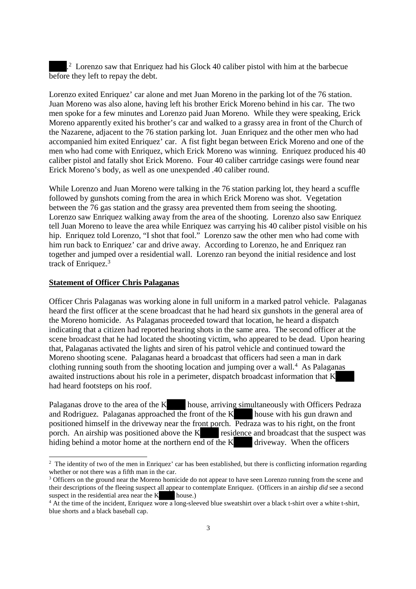. <sup>2</sup> Lorenzo saw that Enriquez had his Glock 40 caliber pistol with him at the barbecue before they left to repay the debt.

Lorenzo exited Enriquez' car alone and met Juan Moreno in the parking lot of the 76 station. Juan Moreno was also alone, having left his brother Erick Moreno behind in his car. The two men spoke for a few minutes and Lorenzo paid Juan Moreno. While they were speaking, Erick Moreno apparently exited his brother's car and walked to a grassy area in front of the Church of the Nazarene, adjacent to the 76 station parking lot. Juan Enriquez and the other men who had accompanied him exited Enriquez' car. A fist fight began between Erick Moreno and one of the men who had come with Enriquez, which Erick Moreno was winning. Enriquez produced his 40 caliber pistol and fatally shot Erick Moreno. Four 40 caliber cartridge casings were found near Erick Moreno's body, as well as one unexpended .40 caliber round.

While Lorenzo and Juan Moreno were talking in the 76 station parking lot, they heard a scuffle followed by gunshots coming from the area in which Erick Moreno was shot. Vegetation between the 76 gas station and the grassy area prevented them from seeing the shooting. Lorenzo saw Enriquez walking away from the area of the shooting. Lorenzo also saw Enriquez tell Juan Moreno to leave the area while Enriquez was carrying his 40 caliber pistol visible on his hip. Enriquez told Lorenzo, "I shot that fool." Lorenzo saw the other men who had come with him run back to Enriquez' car and drive away. According to Lorenzo, he and Enriquez ran together and jumped over a residential wall. Lorenzo ran beyond the initial residence and lost track of Enriquez.<sup>3</sup>

#### **Statement of Officer Chris Palaganas**

Officer Chris Palaganas was working alone in full uniform in a marked patrol vehicle. Palaganas heard the first officer at the scene broadcast that he had heard six gunshots in the general area of the Moreno homicide. As Palaganas proceeded toward that location, he heard a dispatch indicating that a citizen had reported hearing shots in the same area. The second officer at the scene broadcast that he had located the shooting victim, who appeared to be dead. Upon hearing that, Palaganas activated the lights and siren of his patrol vehicle and continued toward the Moreno shooting scene. Palaganas heard a broadcast that officers had seen a man in dark clothing running south from the shooting location and jumping over a wall.<sup>4</sup> As Palaganas awaited instructions about his role in a perimeter, dispatch broadcast information that K had heard footsteps on his roof.

Palaganas drove to the area of the K house, arriving simultaneously with Officers Pedraza and Rodriguez. Palaganas approached the front of the  $K$  house with his gun drawn and positioned himself in the driveway near the front porch. Pedraza was to his right, on the front porch. An airship was positioned above the  $K$  residence and broadcast that the suspect was hiding behind a motor home at the northern end of the  $K$  driveway. When the officers

<sup>&</sup>lt;sup>2</sup> The identity of two of the men in Enriquez' car has been established, but there is conflicting information regarding whether or not there was a fifth man in the car.

<sup>&</sup>lt;sup>3</sup> Officers on the ground near the Moreno homicide do not appear to have seen Lorenzo running from the scene and their descriptions of the fleeing suspect all appear to contemplate Enriquez. (Officers in an airship *did* see a second suspect in the residential area near the  $K$  house.)

<sup>4</sup> At the time of the incident, Enriquez wore a long-sleeved blue sweatshirt over a black t-shirt over a white t-shirt, blue shorts and a black baseball cap.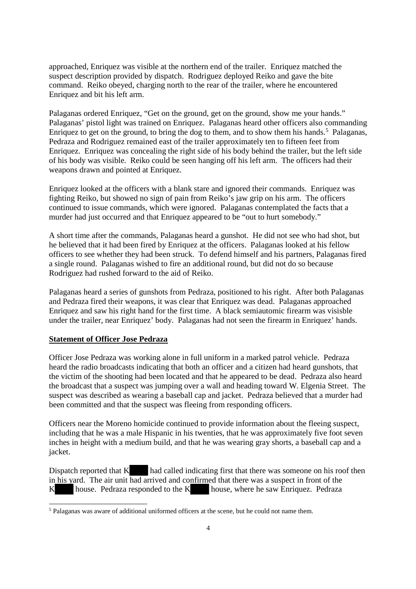approached, Enriquez was visible at the northern end of the trailer. Enriquez matched the suspect description provided by dispatch. Rodriguez deployed Reiko and gave the bite command. Reiko obeyed, charging north to the rear of the trailer, where he encountered Enriquez and bit his left arm.

Palaganas ordered Enriquez, "Get on the ground, get on the ground, show me your hands." Palaganas' pistol light was trained on Enriquez. Palaganas heard other officers also commanding Enriquez to get on the ground, to bring the dog to them, and to show them his hands.<sup>5</sup> Palaganas, Pedraza and Rodriguez remained east of the trailer approximately ten to fifteen feet from Enriquez. Enriquez was concealing the right side of his body behind the trailer, but the left side of his body was visible. Reiko could be seen hanging off his left arm. The officers had their weapons drawn and pointed at Enriquez.

Enriquez looked at the officers with a blank stare and ignored their commands. Enriquez was fighting Reiko, but showed no sign of pain from Reiko's jaw grip on his arm. The officers continued to issue commands, which were ignored. Palaganas contemplated the facts that a murder had just occurred and that Enriquez appeared to be "out to hurt somebody."

A short time after the commands, Palaganas heard a gunshot. He did not see who had shot, but he believed that it had been fired by Enriquez at the officers. Palaganas looked at his fellow officers to see whether they had been struck. To defend himself and his partners, Palaganas fired a single round. Palaganas wished to fire an additional round, but did not do so because Rodriguez had rushed forward to the aid of Reiko.

Palaganas heard a series of gunshots from Pedraza, positioned to his right. After both Palaganas and Pedraza fired their weapons, it was clear that Enriquez was dead. Palaganas approached Enriquez and saw his right hand for the first time. A black semiautomic firearm was visisble under the trailer, near Enriquez' body. Palaganas had not seen the firearm in Enriquez' hands.

#### **Statement of Officer Jose Pedraza**

Officer Jose Pedraza was working alone in full uniform in a marked patrol vehicle. Pedraza heard the radio broadcasts indicating that both an officer and a citizen had heard gunshots, that the victim of the shooting had been located and that he appeared to be dead. Pedraza also heard the broadcast that a suspect was jumping over a wall and heading toward W. Elgenia Street. The suspect was described as wearing a baseball cap and jacket. Pedraza believed that a murder had been committed and that the suspect was fleeing from responding officers.

Officers near the Moreno homicide continued to provide information about the fleeing suspect, including that he was a male Hispanic in his twenties, that he was approximately five foot seven inches in height with a medium build, and that he was wearing gray shorts, a baseball cap and a jacket.

Dispatch reported that K had called indicating first that there was someone on his roof then in his yard. The air unit had arrived and confirmed that there was a suspect in front of the K house. Pedraza responded to the K house, where he saw Enriquez. Pedraza

<sup>5</sup> Palaganas was aware of additional uniformed officers at the scene, but he could not name them.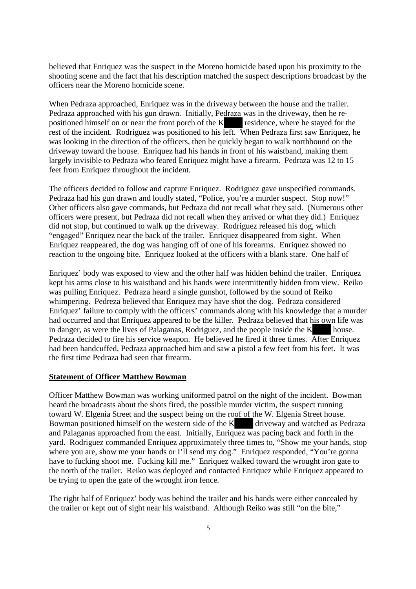believed that Enriquez was the suspect in the Moreno homicide based upon his proximity to the shooting scene and the fact that his description matched the suspect descriptions broadcast by the officers near the Moreno homicide scene.

When Pedraza approached, Enriquez was in the driveway between the house and the trailer. Pedraza approached with his gun drawn. Initially, Pedraza was in the driveway, then he repositioned himself on or near the front porch of the K residence, where he stayed for the rest of the incident. Rodriguez was positioned to his left. When Pedraza first saw Enriquez, he was looking in the direction of the officers, then he quickly began to walk northbound on the driveway toward the house. Enriquez had his hands in front of his waistband, making them largely invisible to Pedraza who feared Enriquez might have a firearm. Pedraza was 12 to 15 feet from Enriquez throughout the incident.

The officers decided to follow and capture Enriquez. Rodriguez gave unspecified commands. Pedraza had his gun drawn and loudly stated, "Police, you're a murder suspect. Stop now!" Other officers also gave commands, but Pedraza did not recall what they said. (Numerous other officers were present, but Pedraza did not recall when they arrived or what they did.) Enriquez did not stop, but continued to walk up the driveway. Rodriguez released his dog, which "engaged" Enriquez near the back of the trailer. Enriquez disappeared from sight. When Enriquez reappeared, the dog was hanging off of one of his forearms. Enriquez showed no reaction to the ongoing bite. Enriquez looked at the officers with a blank stare. One half of

Enriquez' body was exposed to view and the other half was hidden behind the trailer. Enriquez kept his arms close to his waistband and his hands were intermittently hidden from view. Reiko was pulling Enriquez. Pedraza heard a single gunshot, followed by the sound of Reiko whimpering. Pedreza believed that Enriquez may have shot the dog. Pedraza considered Enriquez' failure to comply with the officers' commands along with his knowledge that a murder had occurred and that Enriquez appeared to be the killer. Pedraza believed that his own life was in danger, as were the lives of Palaganas, Rodriguez, and the people inside the  $K$  house. Pedraza decided to fire his service weapon. He believed he fired it three times. After Enriquez had been handcuffed, Pedraza approached him and saw a pistol a few feet from his feet. It was the first time Pedraza had seen that firearm.

#### **Statement of Officer Matthew Bowman**

Officer Matthew Bowman was working uniformed patrol on the night of the incident. Bowman heard the broadcasts about the shots fired, the possible murder victim, the suspect running toward W. Elgenia Street and the suspect being on the roof of the W. Elgenia Street house. Bowman positioned himself on the western side of the  $K$  driveway and watched as Pedraza and Palaganas approached from the east. Initially, Enriquez was pacing back and forth in the yard. Rodriguez commanded Enriquez approximately three times to, "Show me your hands, stop where you are, show me your hands or I'll send my dog." Enriquez responded, "You're gonna have to fucking shoot me. Fucking kill me." Enriquez walked toward the wrought iron gate to the north of the trailer. Reiko was deployed and contacted Enriquez while Enriquez appeared to be trying to open the gate of the wrought iron fence.

The right half of Enriquez' body was behind the trailer and his hands were either concealed by the trailer or kept out of sight near his waistband. Although Reiko was still "on the bite,"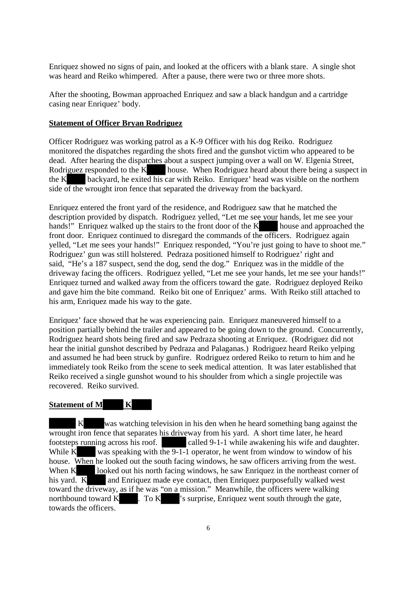Enriquez showed no signs of pain, and looked at the officers with a blank stare. A single shot was heard and Reiko whimpered. After a pause, there were two or three more shots.

After the shooting, Bowman approached Enriquez and saw a black handgun and a cartridge casing near Enriquez' body.

#### **Statement of Officer Bryan Rodriguez**

Officer Rodriguez was working patrol as a K-9 Officer with his dog Reiko. Rodriguez monitored the dispatches regarding the shots fired and the gunshot victim who appeared to be dead. After hearing the dispatches about a suspect jumping over a wall on W. Elgenia Street, Rodriguez responded to the  $K$  house. When Rodriguez heard about there being a suspect in the K backyard, he exited his car with Reiko. Enriquez' head was visible on the northern side of the wrought iron fence that separated the driveway from the backyard.

Enriquez entered the front yard of the residence, and Rodriguez saw that he matched the description provided by dispatch. Rodriguez yelled, "Let me see your hands, let me see your hands!" Enriquez walked up the stairs to the front door of the  $K$  house and approached the front door. Enriquez continued to disregard the commands of the officers. Rodriguez again yelled, "Let me sees your hands!" Enriquez responded, "You're just going to have to shoot me." Rodriguez' gun was still holstered. Pedraza positioned himself to Rodriguez' right and said, "He's a 187 suspect, send the dog, send the dog." Enriquez was in the middle of the driveway facing the officers. Rodriguez yelled, "Let me see your hands, let me see your hands!" Enriquez turned and walked away from the officers toward the gate. Rodriguez deployed Reiko and gave him the bite command. Reiko bit one of Enriquez' arms. With Reiko still attached to his arm, Enriquez made his way to the gate.

Enriquez' face showed that he was experiencing pain. Enriquez maneuvered himself to a position partially behind the trailer and appeared to be going down to the ground. Concurrently, Rodriguez heard shots being fired and saw Pedraza shooting at Enriquez. (Rodriguez did not hear the initial gunshot described by Pedraza and Palaganas.) Rodriguez heard Reiko yelping and assumed he had been struck by gunfire. Rodriguez ordered Reiko to return to him and he immediately took Reiko from the scene to seek medical attention. It was later established that Reiko received a single gunshot wound to his shoulder from which a single projectile was recovered. Reiko survived.

#### **Statement of M K**

K was watching television in his den when he heard something bang against the wrought iron fence that separates his driveway from his yard. A short time later, he heard footsteps running across his roof. called 9-1-1 while awakening his wife and daughter. While  $\overline{K}$  was speaking with the 9-1-1 operator, he went from window to window of his house. When he looked out the south facing windows, he saw officers arriving from the west. When K looked out his north facing windows, he saw Enriquez in the northeast corner of his yard. K and Enriquez made eye contact, then Enriquez purposefully walked west toward the driveway, as if he was "on a mission." Meanwhile, the officers were walking northbound toward K  $\overline{K}$  . To  $\overline{K}$  is surprise, Enriquez went south through the gate, towards the officers.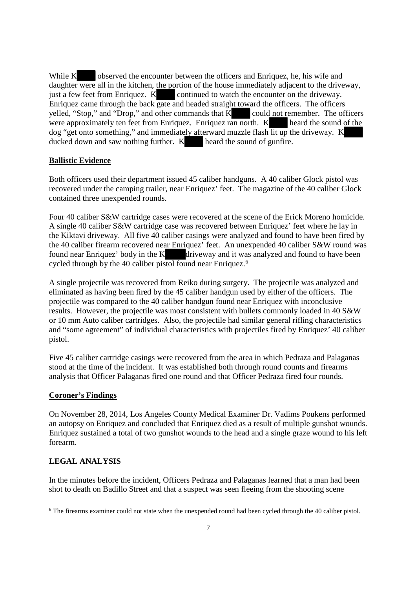While K observed the encounter between the officers and Enriquez, he, his wife and daughter were all in the kitchen, the portion of the house immediately adjacent to the driveway, just a few feet from Enriquez.  $K$  continued to watch the encounter on the driveway. Enriquez came through the back gate and headed straight toward the officers. The officers yelled, "Stop," and "Drop," and other commands that  $\overline{K}$  could not remember. The officers were approximately ten feet from Enriquez. Enriquez ran north. K heard the sound of the dog "get onto something," and immediately afterward muzzle flash lit up the driveway. K ducked down and saw nothing further.  $K$  heard the sound of gunfire.

# **Ballistic Evidence**

Both officers used their department issued 45 caliber handguns. A 40 caliber Glock pistol was recovered under the camping trailer, near Enriquez' feet. The magazine of the 40 caliber Glock contained three unexpended rounds.

Four 40 caliber S&W cartridge cases were recovered at the scene of the Erick Moreno homicide. A single 40 caliber S&W cartridge case was recovered between Enriquez' feet where he lay in the Kiktavi driveway. All five 40 caliber casings were analyzed and found to have been fired by the 40 caliber firearm recovered near Enriquez' feet. An unexpended 40 caliber S&W round was found near Enriquez' body in the K  $\blacksquare$  driveway and it was analyzed and found to have been cycled through by the 40 caliber pistol found near Enriquez.<sup>6</sup>

A single projectile was recovered from Reiko during surgery. The projectile was analyzed and eliminated as having been fired by the 45 caliber handgun used by either of the officers. The projectile was compared to the 40 caliber handgun found near Enriquez with inconclusive results. However, the projectile was most consistent with bullets commonly loaded in 40 S&W or 10 mm Auto caliber cartridges. Also, the projectile had similar general rifling characteristics and "some agreement" of individual characteristics with projectiles fired by Enriquez' 40 caliber pistol.

Five 45 caliber cartridge casings were recovered from the area in which Pedraza and Palaganas stood at the time of the incident. It was established both through round counts and firearms analysis that Officer Palaganas fired one round and that Officer Pedraza fired four rounds.

#### **Coroner's Findings**

On November 28, 2014, Los Angeles County Medical Examiner Dr. Vadims Poukens performed an autopsy on Enriquez and concluded that Enriquez died as a result of multiple gunshot wounds. Enriquez sustained a total of two gunshot wounds to the head and a single graze wound to his left forearm.

# **LEGAL ANALYSIS**

In the minutes before the incident, Officers Pedraza and Palaganas learned that a man had been shot to death on Badillo Street and that a suspect was seen fleeing from the shooting scene

<sup>6</sup> The firearms examiner could not state when the unexpended round had been cycled through the 40 caliber pistol.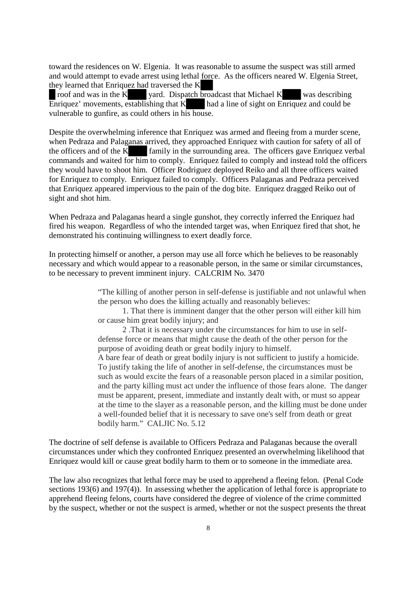toward the residences on W. Elgenia. It was reasonable to assume the suspect was still armed and would attempt to evade arrest using lethal force. As the officers neared W. Elgenia Street, they learned that Enriquez had traversed the K

roof and was in the K yard. Dispatch broadcast that Michael K was describing Enriquez' movements, establishing that  $\overline{K}$  had a line of sight on Enriquez and could be vulnerable to gunfire, as could others in his house.

Despite the overwhelming inference that Enriquez was armed and fleeing from a murder scene, when Pedraza and Palaganas arrived, they approached Enriquez with caution for safety of all of the officers and of the  $K_{\text{f}}$  family in the surrounding area. The officers gave Enriquez verbal commands and waited for him to comply. Enriquez failed to comply and instead told the officers they would have to shoot him. Officer Rodriguez deployed Reiko and all three officers waited for Enriquez to comply. Enriquez failed to comply. Officers Palaganas and Pedraza perceived that Enriquez appeared impervious to the pain of the dog bite. Enriquez dragged Reiko out of sight and shot him.

When Pedraza and Palaganas heard a single gunshot, they correctly inferred the Enriquez had fired his weapon. Regardless of who the intended target was, when Enriquez fired that shot, he demonstrated his continuing willingness to exert deadly force.

In protecting himself or another, a person may use all force which he believes to be reasonably necessary and which would appear to a reasonable person, in the same or similar circumstances, to be necessary to prevent imminent injury. CALCRIM No. 3470

> "The killing of another person in self-defense is justifiable and not unlawful when the person who does the killing actually and reasonably believes:

1. That there is imminent danger that the other person will either kill him or cause him great bodily injury; and

2 .That it is necessary under the circumstances for him to use in selfdefense force or means that might cause the death of the other person for the purpose of avoiding death or great bodily injury to himself.

A bare fear of death or great bodily injury is not sufficient to justify a homicide. To justify taking the life of another in self-defense, the circumstances must be such as would excite the fears of a reasonable person placed in a similar position, and the party killing must act under the influence of those fears alone. The danger must be apparent, present, immediate and instantly dealt with, or must so appear at the time to the slayer as a reasonable person, and the killing must be done under a well-founded belief that it is necessary to save one's self from death or great bodily harm." CALJIC No. 5.12

The doctrine of self defense is available to Officers Pedraza and Palaganas because the overall circumstances under which they confronted Enriquez presented an overwhelming likelihood that Enriquez would kill or cause great bodily harm to them or to someone in the immediate area.

The law also recognizes that lethal force may be used to apprehend a fleeing felon. (Penal Code sections 193(6) and 197(4)). In assessing whether the application of lethal force is appropriate to apprehend fleeing felons, courts have considered the degree of violence of the crime committed by the suspect, whether or not the suspect is armed, whether or not the suspect presents the threat